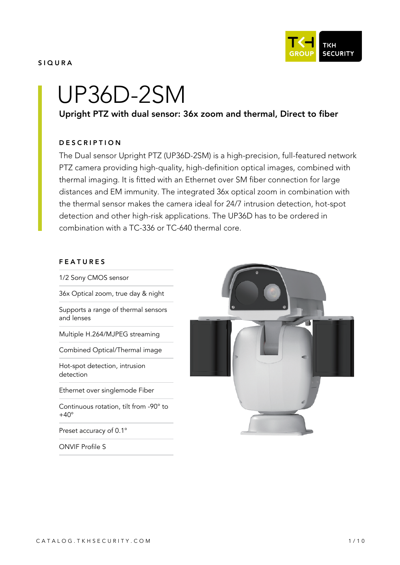

### SIQURA

# UP36D-2SM

Upright PTZ with dual sensor: 36x zoom and thermal, Direct to fiber

### **DESCRIPTION**

The Dual sensor Upright PTZ (UP36D-2SM) is a high-precision, full-featured network PTZ camera providing high-quality, high-definition optical images, combined with thermal imaging. It is fitted with an Ethernet over SM fiber connection for large distances and EM immunity. The integrated 36x optical zoom in combination with the thermal sensor makes the camera ideal for 24/7 intrusion detection, hot-spot detection and other high-risk applications. The UP36D has to be ordered in combination with a TC-336 or TC-640 thermal core.

#### FEATURES

1/2 Sony CMOS sensor

36x Optical zoom, true day & night

Supports a range of thermal sensors and lenses

Multiple H.264/MJPEG streaming

Combined Optical/Thermal image

Hot-spot detection, intrusion detection

Ethernet over singlemode Fiber

Continuous rotation, tilt from -90° to  $+40^\circ$ 

Preset accuracy of 0.1°

ONVIF Profile S

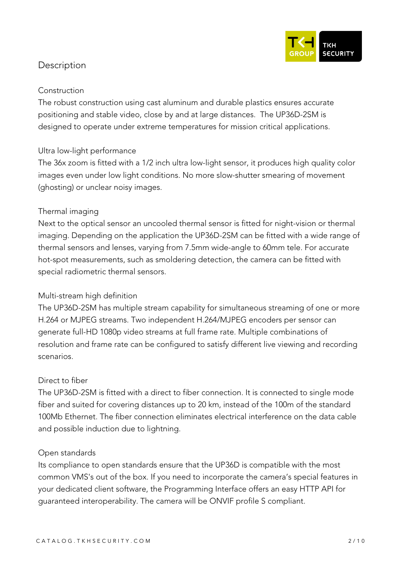

# **Description**

# **Construction**

The robust construction using cast aluminum and durable plastics ensures accurate positioning and stable video, close by and at large distances. The UP36D-2SM is designed to operate under extreme temperatures for mission critical applications.

# **Ultra low-light performance**

The 36x zoom is fitted with a 1/2 inch ultra low-light sensor, it produces high quality color images even under low light conditions. No more slow-shutter smearing of movement (ghosting) or unclear noisy images.

# **Thermal imaging**

Next to the optical sensor an uncooled thermal sensor is fitted for night-vision or thermal imaging. Depending on the application the UP36D-2SM can be fitted with a wide range of thermal sensors and lenses, varying from 7.5mm wide-angle to 60mm tele. For accurate hot-spot measurements, such as smoldering detection, the camera can be fitted with special radiometric thermal sensors.

## **Multi-stream high definition**

The UP36D-2SM has multiple stream capability for simultaneous streaming of one or more H.264 or MJPEG streams. Two independent H.264/MJPEG encoders per sensor can generate full-HD 1080p video streams at full frame rate. Multiple combinations of resolution and frame rate can be configured to satisfy different live viewing and recording scenarios.

## **Direct to fiber**

The UP36D-2SM is fitted with a direct to fiber connection. It is connected to single mode fiber and suited for covering distances up to 20 km, instead of the 100m of the standard 100Mb Ethernet. The fiber connection eliminates electrical interference on the data cable and possible induction due to lightning.

## **Open standards**

Its compliance to open standards ensure that the UP36D is compatible with the most common VMS's out of the box. If you need to incorporate the camera's special features in your dedicated client software, the Programming Interface offers an easy HTTP API for guaranteed interoperability. The camera will be ONVIF profile S compliant.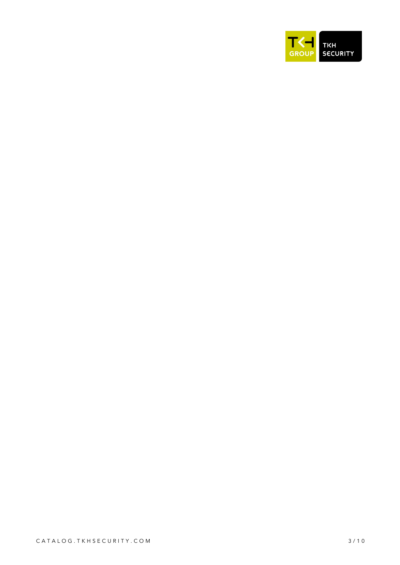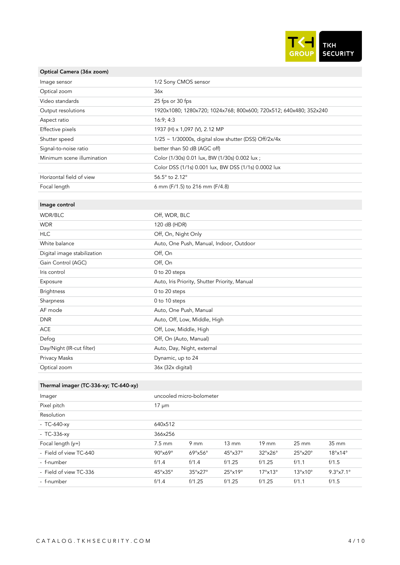

### Optical Camera (36x zoom)

| Image sensor                | 1/2 Sony CMOS sensor                                              |
|-----------------------------|-------------------------------------------------------------------|
| Optical zoom                | 36x                                                               |
| Video standards             | 25 fps or 30 fps                                                  |
| Output resolutions          | 1920x1080; 1280x720; 1024x768; 800x600; 720x512; 640x480; 352x240 |
| Aspect ratio                | 16:9; 4:3                                                         |
| Effective pixels            | 1937 (H) x 1,097 (V), 2.12 MP                                     |
| Shutter speed               | $1/25 \sim 1/30000$ s, digital slow shutter (DSS) Off/2x/4x       |
| Signal-to-noise ratio       | better than 50 dB (AGC off)                                       |
| Minimum scene illumination  | Color (1/30s) 0.01 lux, BW (1/30s) 0.002 lux;                     |
|                             | Color DSS (1/1s) 0.001 lux, BW DSS (1/1s) 0.0002 lux              |
| Horizontal field of view    | 56.5° to 2.12°                                                    |
| Focal length                | 6 mm (F/1.5) to 216 mm (F/4.8)                                    |
|                             |                                                                   |
| Image control               |                                                                   |
| WDR/BLC                     | Off, WDR, BLC                                                     |
| <b>WDR</b>                  | 120 dB (HDR)                                                      |
| <b>HLC</b>                  | Off, On, Night Only                                               |
| White balance               | Auto, One Push, Manual, Indoor, Outdoor                           |
| Digital image stabilization | Off, On                                                           |
| Gain Control (AGC)          | Off, On                                                           |
| Iris control                | 0 to 20 steps                                                     |
| Exposure                    | Auto, Iris Priority, Shutter Priority, Manual                     |
| <b>Brightness</b>           | 0 to 20 steps                                                     |
| Sharpness                   | 0 to 10 steps                                                     |
| AF mode                     | Auto, One Push, Manual                                            |
| <b>DNR</b>                  | Auto, Off, Low, Middle, High                                      |
| <b>ACE</b>                  | Off, Low, Middle, High                                            |
| Defog                       | Off, On (Auto, Manual)                                            |
| Day/Night (IR-cut filter)   | Auto, Day, Night, external                                        |
| Privacy Masks               | Dynamic, up to 24                                                 |
| Optical zoom                | 36x (32x digital)                                                 |
|                             |                                                                   |

#### Thermal imager (TC-336-xy; TC-640-xy)

| Imager                 | uncooled micro-bolometer       |                            |                                |                            |                                |                                  |
|------------------------|--------------------------------|----------------------------|--------------------------------|----------------------------|--------------------------------|----------------------------------|
| Pixel pitch            | $17 \mu m$                     |                            |                                |                            |                                |                                  |
| Resolution             |                                |                            |                                |                            |                                |                                  |
| $- TC-640-xy$          | 640x512                        |                            |                                |                            |                                |                                  |
| $- TC-336-xy$          | 366x256                        |                            |                                |                            |                                |                                  |
| Focal length (y=)      | $7.5 \text{ mm}$               | $9 \text{ mm}$             | $13 \, \text{mm}$              | $19 \text{ mm}$            | $25 \text{ mm}$                | 35 mm                            |
| - Field of view TC-640 | $90^\circ \times 69^\circ$     | $69^\circ \times 56^\circ$ | $45^{\circ} \times 37^{\circ}$ | $32^\circ \times 26^\circ$ | $25^\circ \times 20^\circ$     | $18^\circ \times 14^\circ$       |
| - f-number             | f/1.4                          | f/1.4                      | f/1.25                         | f/1.25                     | f/1.1                          | f/1.5                            |
| - Field of view TC-336 | $45^{\circ} \times 35^{\circ}$ | $35^\circ \times 27^\circ$ | $25^\circ \times 19^\circ$     | $17^\circ \times 13^\circ$ | $13^{\circ} \times 10^{\circ}$ | $9.3^{\circ} \times 7.1^{\circ}$ |
| - f-number             | f/1.4                          | f/1.25                     | f/1.25                         | f/1.25                     | f/1.1                          | f/1.5                            |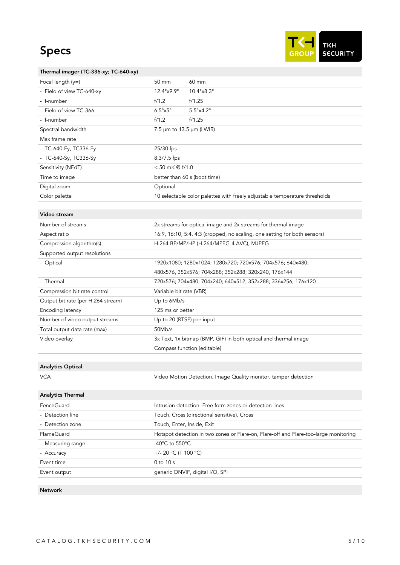# Specs



### Thermal imager (TC-336-xy; TC-640-xy)

| Focal length (y=)                  | 50 mm                             | 60 mm                                                                                |  |
|------------------------------------|-----------------------------------|--------------------------------------------------------------------------------------|--|
| - Field of view TC-640-xy          | $12.4^{\circ} \times 9.9^{\circ}$ | $10.4^\circ \times 8.3^\circ$                                                        |  |
| - f-number                         | f/1.2                             | f/1.25                                                                               |  |
| - Field of view TC-366             | $6.5^{\circ} \times 5^{\circ}$    | $5.5^{\circ}$ x4.2°                                                                  |  |
| - f-number                         | f/1.2                             | f/1.25                                                                               |  |
| Spectral bandwidth                 | 7.5 µm to 13.5 µm (LWIR)          |                                                                                      |  |
| Max frame rate                     |                                   |                                                                                      |  |
| - TC-640-Fy, TC336-Fy              | 25/30 fps                         |                                                                                      |  |
| - TC-640-Sy, TC336-Sy              | 8.3/7.5 fps                       |                                                                                      |  |
| Sensitivity (NEdT)                 | <50 mK @ f/1.0                    |                                                                                      |  |
| Time to image                      | better than 60 s (boot time)      |                                                                                      |  |
| Digital zoom                       | Optional                          |                                                                                      |  |
| Color palette                      |                                   | 10 selectable color palettes with freely adjustable temperature thresholds           |  |
|                                    |                                   |                                                                                      |  |
| Video stream                       |                                   |                                                                                      |  |
| Number of streams                  |                                   | 2x streams for optical image and 2x streams for thermal image                        |  |
| Aspect ratio                       |                                   | 16:9, 16:10, 5:4, 4:3 (cropped, no scaling, one setting for both sensors)            |  |
| Compression algorithm(s)           |                                   | H.264 BP/MP/HP (H.264/MPEG-4 AVC), MJPEG                                             |  |
| Supported output resolutions       |                                   |                                                                                      |  |
| - Optical                          |                                   | 1920x1080; 1280x1024; 1280x720; 720x576; 704x576; 640x480;                           |  |
|                                    |                                   | 480x576, 352x576; 704x288; 352x288; 320x240, 176x144                                 |  |
| - Thermal                          |                                   | 720x576; 704x480; 704x240; 640x512, 352x288; 336x256, 176x120                        |  |
| Compression bit rate control       | Variable bit rate (VBR)           |                                                                                      |  |
| Output bit rate (per H.264 stream) | Up to 6Mb/s                       |                                                                                      |  |
| Encoding latency                   | 125 ms or better                  |                                                                                      |  |
| Number of video output streams     | Up to 20 (RTSP) per input         |                                                                                      |  |
| Total output data rate (max)       | 50Mb/s                            |                                                                                      |  |
| Video overlay                      |                                   | 3x Text, 1x bitmap (BMP, GIF) in both optical and thermal image                      |  |
|                                    |                                   | Compass function (editable)                                                          |  |
|                                    |                                   |                                                                                      |  |
| <b>Analytics Optical</b>           |                                   |                                                                                      |  |
| <b>VCA</b>                         |                                   | Video Motion Detection, Image Quality monitor, tamper detection                      |  |
|                                    |                                   |                                                                                      |  |
| <b>Analytics Thermal</b>           |                                   |                                                                                      |  |
| FenceGuard                         |                                   | Intrusion detection. Free form zones or detection lines                              |  |
| - Detection line                   |                                   | Touch, Cross (directional sensitive), Cross                                          |  |
| - Detection zone                   | Touch, Enter, Inside, Exit        |                                                                                      |  |
| FlameGuard                         |                                   | Hotspot detection in two zones or Flare-on, Flare-off and Flare-too-large monitoring |  |
| - Measuring range                  | -40°C to 550°C                    |                                                                                      |  |
| - Accuracy                         | +/- 20 °C (T 100 °C)              |                                                                                      |  |
| Event time                         | 0 to 10 s                         |                                                                                      |  |
| Event output                       |                                   | generic ONVIF, digital I/O, SPI                                                      |  |
|                                    |                                   |                                                                                      |  |
|                                    |                                   |                                                                                      |  |

### Network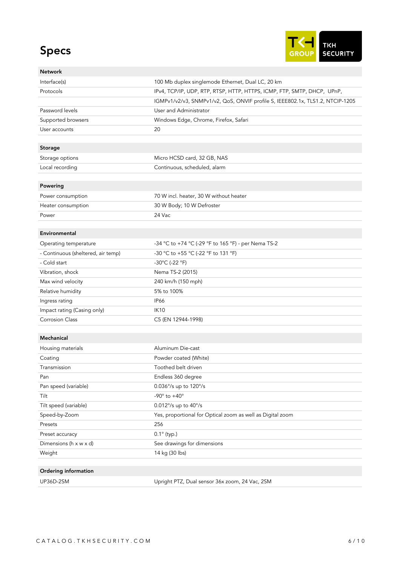# Specs



### Network

| Interface(s)                       | 100 Mb duplex singlemode Ethernet, Dual LC, 20 km                             |  |  |
|------------------------------------|-------------------------------------------------------------------------------|--|--|
| Protocols                          | IPv4, TCP/IP, UDP, RTP, RTSP, HTTP, HTTPS, ICMP, FTP, SMTP, DHCP, UPnP,       |  |  |
|                                    | IGMPv1/v2/v3, SNMPv1/v2, QoS, ONVIF profile S, IEEE802.1x, TLS1.2, NTCIP-1205 |  |  |
| Password levels                    | User and Administrator                                                        |  |  |
| Supported browsers                 | Windows Edge, Chrome, Firefox, Safari                                         |  |  |
| User accounts                      | 20                                                                            |  |  |
|                                    |                                                                               |  |  |
| <b>Storage</b>                     |                                                                               |  |  |
| Storage options                    | Micro HCSD card, 32 GB, NAS                                                   |  |  |
| Local recording                    | Continuous, scheduled, alarm                                                  |  |  |
|                                    |                                                                               |  |  |
| Powering                           |                                                                               |  |  |
| Power consumption                  | 70 W incl. heater, 30 W without heater                                        |  |  |
| Heater consumption                 | 30 W Body; 10 W Defroster                                                     |  |  |
| Power                              | 24 Vac                                                                        |  |  |
|                                    |                                                                               |  |  |
| Environmental                      |                                                                               |  |  |
| Operating temperature              | -34 °C to +74 °C (-29 °F to 165 °F) - per Nema TS-2                           |  |  |
| - Continuous (sheltered, air temp) | -30 °C to +55 °C (-22 °F to 131 °F)                                           |  |  |
| - Cold start                       | -30°C (-22 °F)                                                                |  |  |
| Vibration, shock                   | Nema TS-2 (2015)                                                              |  |  |
| Max wind velocity                  | 240 km/h (150 mph)                                                            |  |  |
| Relative humidity                  | 5% to 100%                                                                    |  |  |
| Ingress rating                     | <b>IP66</b>                                                                   |  |  |
| Impact rating (Casing only)        | <b>IK10</b>                                                                   |  |  |
| <b>Corrosion Class</b>             | C5 (EN 12944-1998)                                                            |  |  |
|                                    |                                                                               |  |  |
| Mechanical                         |                                                                               |  |  |
| Housing materials                  | Aluminum Die-cast                                                             |  |  |
| Coating                            | Powder coated (White)                                                         |  |  |
| Transmission                       | Toothed belt driven                                                           |  |  |
| Pan                                | Endless 360 degree                                                            |  |  |
| Pan speed (variable)               | 0.036°/s up to 120°/s                                                         |  |  |
| Tilt                               | -90 $^{\circ}$ to +40 $^{\circ}$                                              |  |  |
| Tilt speed (variable)              | $0.012^{\circ}/s$ up to $40^{\circ}/s$                                        |  |  |
| Speed-by-Zoom                      | Yes, proportional for Optical zoom as well as Digital zoom                    |  |  |
| Presets                            | 256                                                                           |  |  |
| Preset accuracy                    | $0.1^\circ$ (typ.)                                                            |  |  |
| Dimensions (h x w x d)             | See drawings for dimensions                                                   |  |  |
| Weight                             | 14 kg (30 lbs)                                                                |  |  |
|                                    |                                                                               |  |  |
| Ordering information               |                                                                               |  |  |
| <b>UP36D-2SM</b>                   | Upright PTZ, Dual sensor 36x zoom, 24 Vac, 2SM                                |  |  |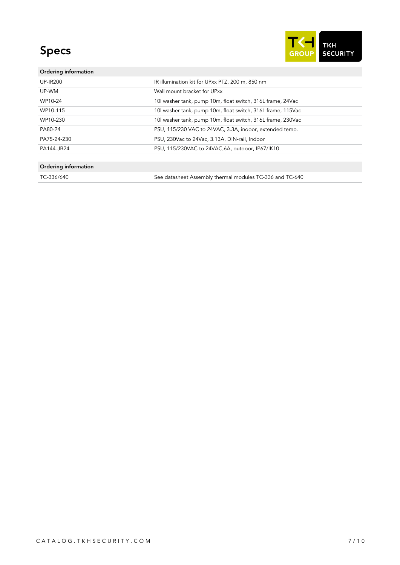# Specs



#### Ordering information

| UP-IR200    | IR illumination kit for UPxx PTZ, 200 m, 850 nm            |
|-------------|------------------------------------------------------------|
| UP-WM       | Wall mount bracket for UPxx                                |
| WP10-24     | 10 washer tank, pump 10m, float switch, 316L frame, 24Vac  |
| WP10-115    | 10 washer tank, pump 10m, float switch, 316L frame, 115Vac |
| WP10-230    | 10 washer tank, pump 10m, float switch, 316L frame, 230Vac |
| PA80-24     | PSU, 115/230 VAC to 24VAC, 3.3A, indoor, extended temp.    |
| PA75-24-230 | PSU, 230Vac to 24Vac, 3.13A, DIN-rail, Indoor              |
| PA144-JB24  | PSU, 115/230VAC to 24VAC,6A, outdoor, IP67/IK10            |
|             |                                                            |

#### Ordering information

| TC-336/640 | See datasheet Assembly thermal modules TC-336 and TC-640 |
|------------|----------------------------------------------------------|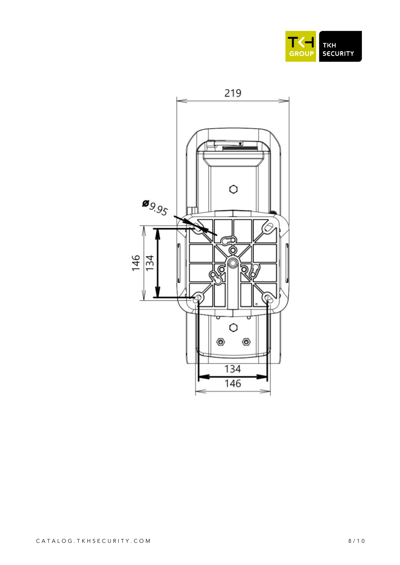

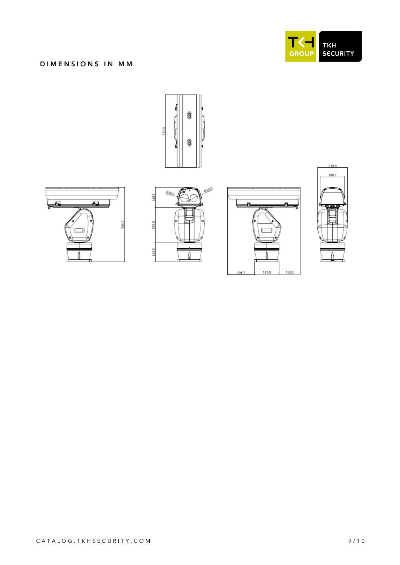

### DIMENSIONS IN MM